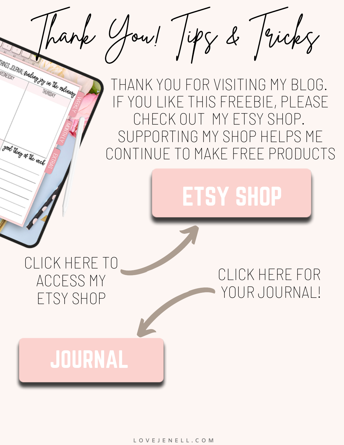## THANK YOU FOR VISITING MY BLOG. IF YOU LIKE THIS FREEBIE, PLEASE CHECK OUT MY ETSY SHOP. SUPPORTING MY SHOP HELPS ME CONTINUE TO MAKE FREE PRODUCTS Thank You! Tips & Tricks

# [ETSY SHOP](https://www.etsy.com/shop/LoveJenell)

### CLICK HERE TO ACCESS MY ETSY SHOP

good thing of the web

#### CLICK HERE FOR YOUR JOURNAL!

## [JOURNAL](https://www.dropbox.com/sh/9p622t30yg4lifh/AAA2X5MrksdLXEsQ4wZi-UbVa?dl=0)